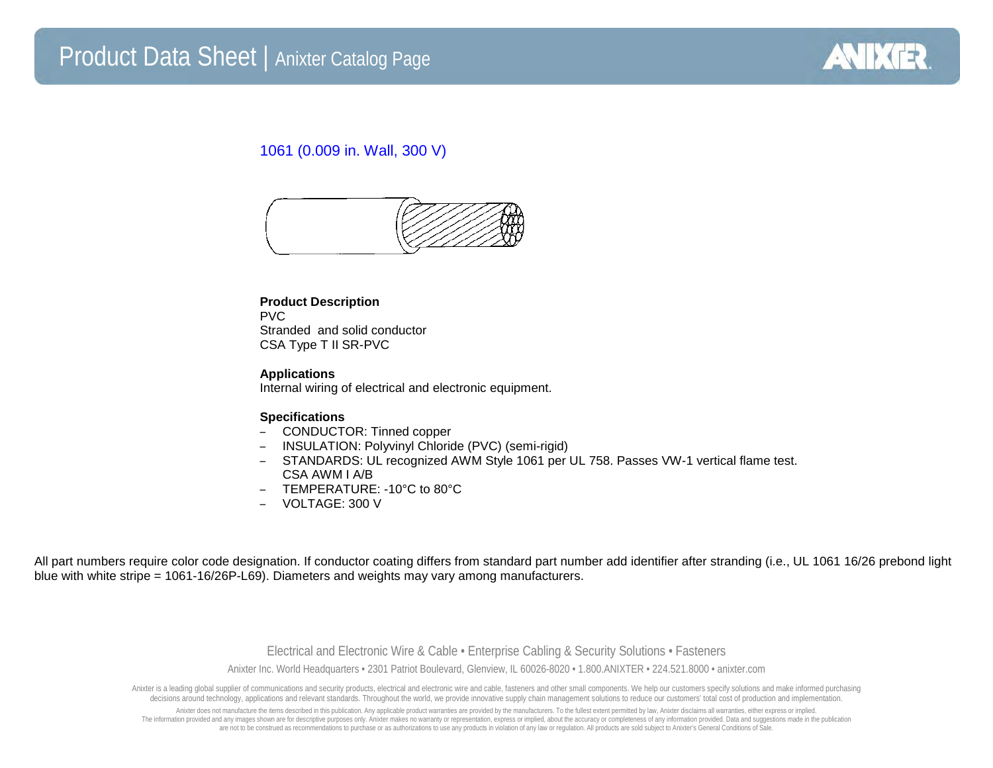

## 1061 (0.009 in. Wall, 300 V)



### **Product Description** PVC Stranded and solid conductor CSA Type T II SR-PVC

#### **Applications**

Internal wiring of electrical and electronic equipment.

#### **Specifications**

- CONDUCTOR: Tinned copper
- INSULATION: Polyvinyl Chloride (PVC) (semi-rigid)
- STANDARDS: UL recognized AWM Style 1061 per UL 758. Passes VW-1 vertical flame test. CSA AWM I A/B
- TEMPERATURE: -10°C to 80°C
- VOLTAGE: 300 V

All part numbers require color code designation. If conductor coating differs from standard part number add identifier after stranding (i.e., UL 1061 16/26 prebond light blue with white stripe = 1061-16/26P-L69). Diameters and weights may vary among manufacturers.

> Electrical and Electronic Wire & Cable • Enterprise Cabling & Security Solutions • Fasteners Anixter Inc. World Headquarters • 2301 Patriot Boulevard, Glenview, IL 60026-8020 • 1.800.ANIXTER • 224.521.8000 • anixter.com

Anixter is a leading global supplier of communications and security products, electrical and electronic wire and cable, fasteners and other small components. We help our customers specify solutions and make informed purcha decisions around technology, applications and relevant standards. Throughout the world, we provide innovative supply chain management solutions to reduce our customers' total cost of production and implementation.

Anixter does not manufacture the items described in this publication. Any applicable product warranties are provided by the manufacturers. To the fullest extent permitted by law, Anixter disclaims all warranties, either ex The information provided and any images shown are for descriptive purposes only. Anixter makes no warranty or representation, express or implied, about the accuracy or completeness of any information provided. Data and sug are not to be construed as recommendations to purchase or as authorizations to use any products in violation of any law or regulation. All products are sold subject to Anixter's General Conditions of Sale.